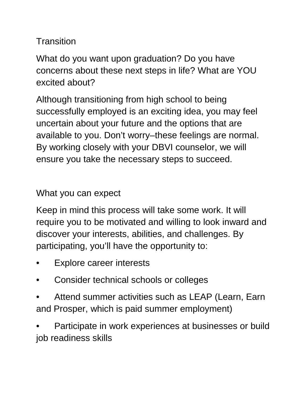## **Transition**

What do you want upon graduation? Do you have concerns about these next steps in life? What are YOU excited about?

Although transitioning from high school to being successfully employed is an exciting idea, you may feel uncertain about your future and the options that are available to you. Don't worry–these feelings are normal. By working closely with your DBVI counselor, we will ensure you take the necessary steps to succeed.

What you can expect

Keep in mind this process will take some work. It will require you to be motivated and willing to look inward and discover your interests, abilities, and challenges. By participating, you'll have the opportunity to:

- Explore career interests
- Consider technical schools or colleges
- Attend summer activities such as LEAP (Learn, Earn and Prosper, which is paid summer employment)

• Participate in work experiences at businesses or build job readiness skills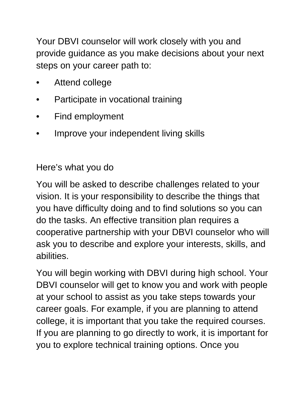Your DBVI counselor will work closely with you and provide guidance as you make decisions about your next steps on your career path to:

- Attend college
- Participate in vocational training
- Find employment
- Improve your independent living skills

## Here's what you do

You will be asked to describe challenges related to your vision. It is your responsibility to describe the things that you have difficulty doing and to find solutions so you can do the tasks. An effective transition plan requires a cooperative partnership with your DBVI counselor who will ask you to describe and explore your interests, skills, and abilities.

You will begin working with DBVI during high school. Your DBVI counselor will get to know you and work with people at your school to assist as you take steps towards your career goals. For example, if you are planning to attend college, it is important that you take the required courses. If you are planning to go directly to work, it is important for you to explore technical training options. Once you